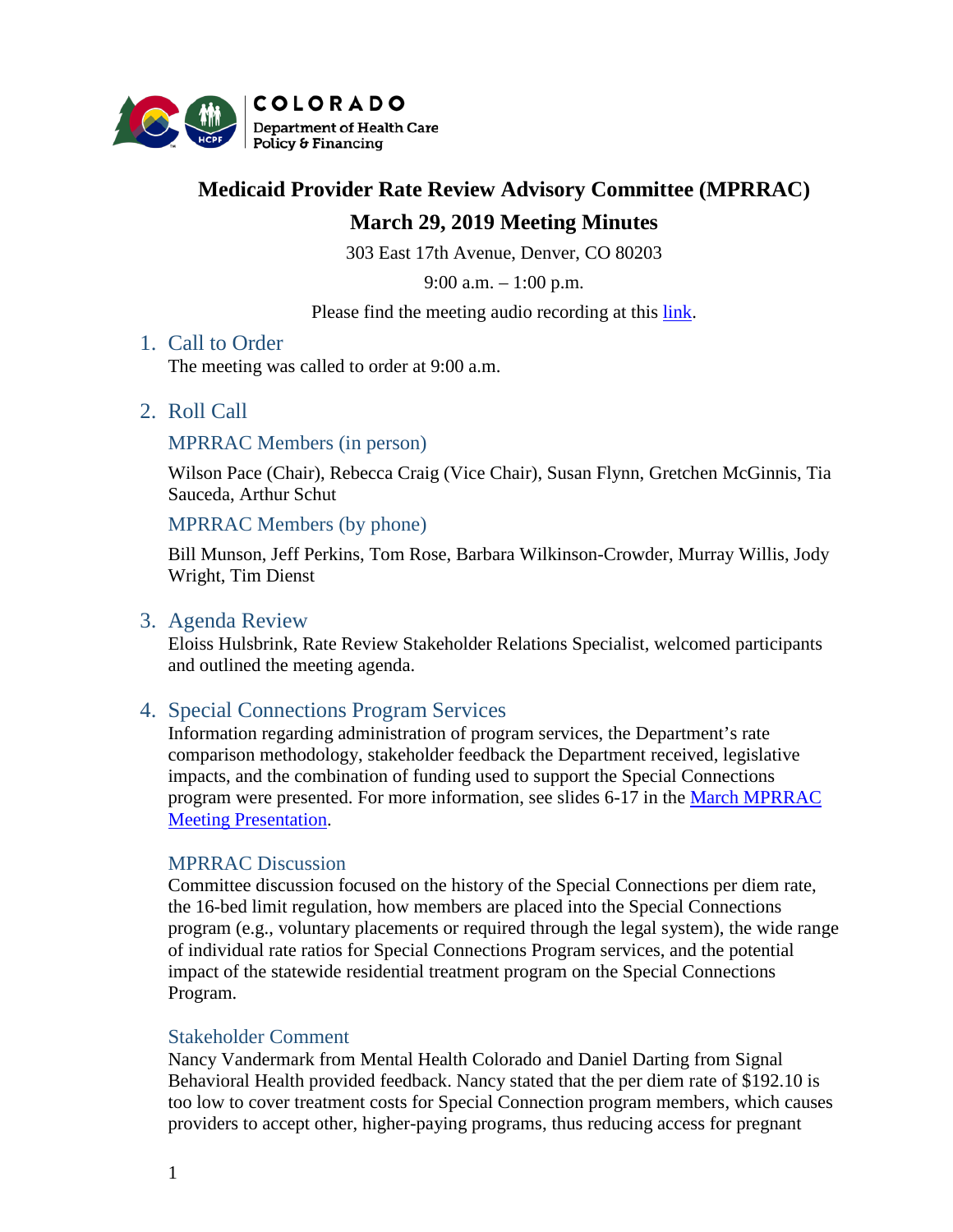

# **Medicaid Provider Rate Review Advisory Committee (MPRRAC)**

# **March 29, 2019 Meeting Minutes**

303 East 17th Avenue, Denver, CO 80203

9:00 a.m. – 1:00 p.m.

Please find the meeting audio recording at this [link.](https://cohcpf.adobeconnect.com/p1vqinfezvcq/?proto=true)

# 1. Call to Order

The meeting was called to order at 9:00 a.m.

# 2. Roll Call

## MPRRAC Members (in person)

Wilson Pace (Chair), Rebecca Craig (Vice Chair), Susan Flynn, Gretchen McGinnis, Tia Sauceda, Arthur Schut

MPRRAC Members (by phone)

Bill Munson, Jeff Perkins, Tom Rose, Barbara Wilkinson-Crowder, Murray Willis, Jody Wright, Tim Dienst

# 3. Agenda Review

Eloiss Hulsbrink, Rate Review Stakeholder Relations Specialist, welcomed participants and outlined the meeting agenda.

# 4. Special Connections Program Services

Information regarding administration of program services, the Department's rate comparison methodology, stakeholder feedback the Department received, legislative impacts, and the combination of funding used to support the Special Connections program were presented. For more information, see slides 6-17 in the [March MPRRAC](https://www.colorado.gov/pacific/sites/default/files/MPRRACSlides_Year4__29March2019_finalpdf.pdf)  [Meeting Presentation.](https://www.colorado.gov/pacific/sites/default/files/MPRRACSlides_Year4__29March2019_finalpdf.pdf)

## MPRRAC Discussion

Committee discussion focused on the history of the Special Connections per diem rate, the 16-bed limit regulation, how members are placed into the Special Connections program (e.g., voluntary placements or required through the legal system), the wide range of individual rate ratios for Special Connections Program services, and the potential impact of the statewide residential treatment program on the Special Connections Program.

## Stakeholder Comment

Nancy Vandermark from Mental Health Colorado and Daniel Darting from Signal Behavioral Health provided feedback. Nancy stated that the per diem rate of \$192.10 is too low to cover treatment costs for Special Connection program members, which causes providers to accept other, higher-paying programs, thus reducing access for pregnant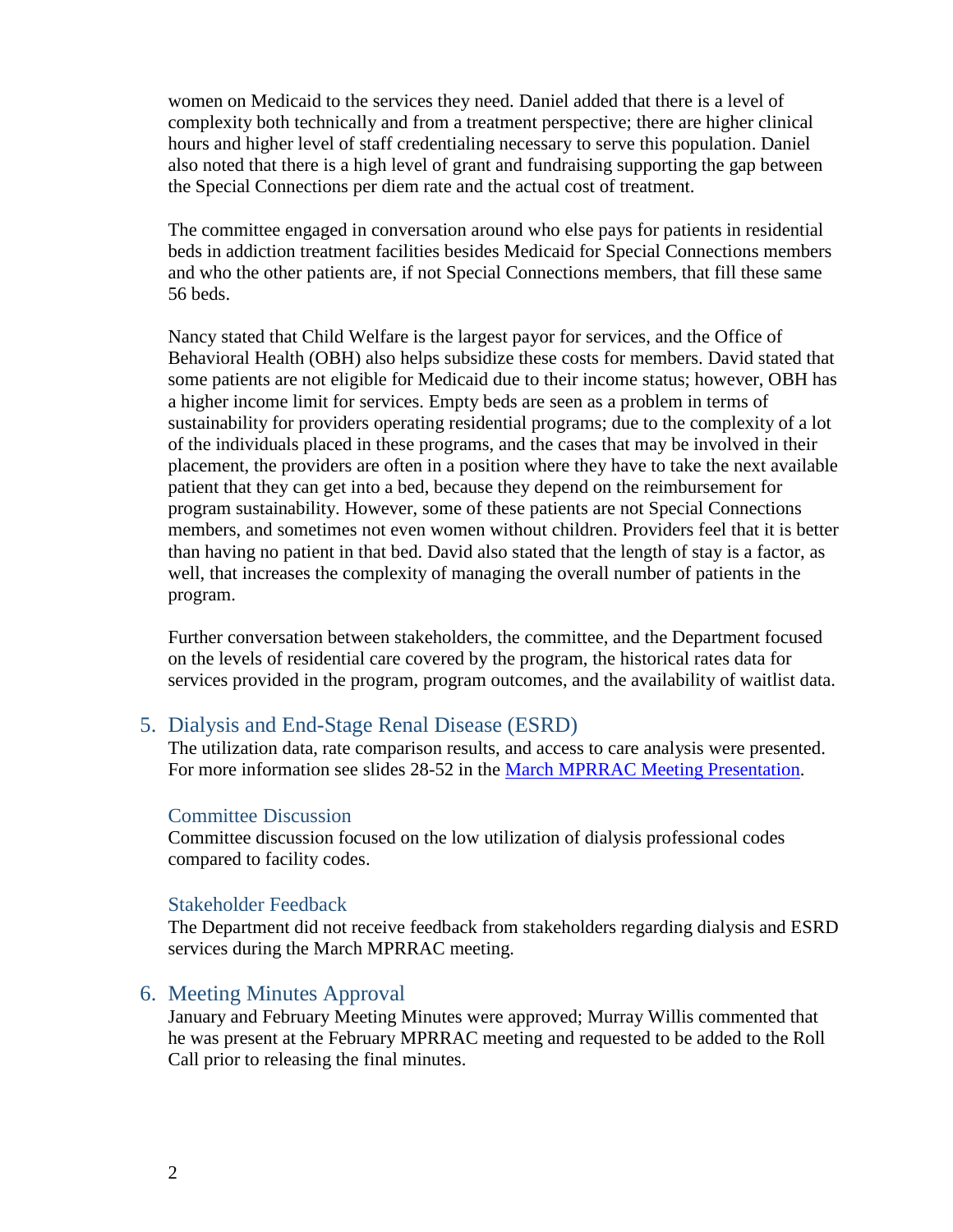women on Medicaid to the services they need. Daniel added that there is a level of complexity both technically and from a treatment perspective; there are higher clinical hours and higher level of staff credentialing necessary to serve this population. Daniel also noted that there is a high level of grant and fundraising supporting the gap between the Special Connections per diem rate and the actual cost of treatment.

The committee engaged in conversation around who else pays for patients in residential beds in addiction treatment facilities besides Medicaid for Special Connections members and who the other patients are, if not Special Connections members, that fill these same 56 beds.

Nancy stated that Child Welfare is the largest payor for services, and the Office of Behavioral Health (OBH) also helps subsidize these costs for members. David stated that some patients are not eligible for Medicaid due to their income status; however, OBH has a higher income limit for services. Empty beds are seen as a problem in terms of sustainability for providers operating residential programs; due to the complexity of a lot of the individuals placed in these programs, and the cases that may be involved in their placement, the providers are often in a position where they have to take the next available patient that they can get into a bed, because they depend on the reimbursement for program sustainability. However, some of these patients are not Special Connections members, and sometimes not even women without children. Providers feel that it is better than having no patient in that bed. David also stated that the length of stay is a factor, as well, that increases the complexity of managing the overall number of patients in the program.

Further conversation between stakeholders, the committee, and the Department focused on the levels of residential care covered by the program, the historical rates data for services provided in the program, program outcomes, and the availability of waitlist data.

# 5. Dialysis and End-Stage Renal Disease (ESRD)

The utilization data, rate comparison results, and access to care analysis were presented. For more information see slides 28-52 in the [March MPRRAC Meeting Presentation.](https://www.colorado.gov/pacific/sites/default/files/MPRRACSlides_Year4__29March2019_finalpdf.pdf)

#### Committee Discussion

Committee discussion focused on the low utilization of dialysis professional codes compared to facility codes.

#### Stakeholder Feedback

The Department did not receive feedback from stakeholders regarding dialysis and ESRD services during the March MPRRAC meeting.

## 6. Meeting Minutes Approval

January and February Meeting Minutes were approved; Murray Willis commented that he was present at the February MPRRAC meeting and requested to be added to the Roll Call prior to releasing the final minutes.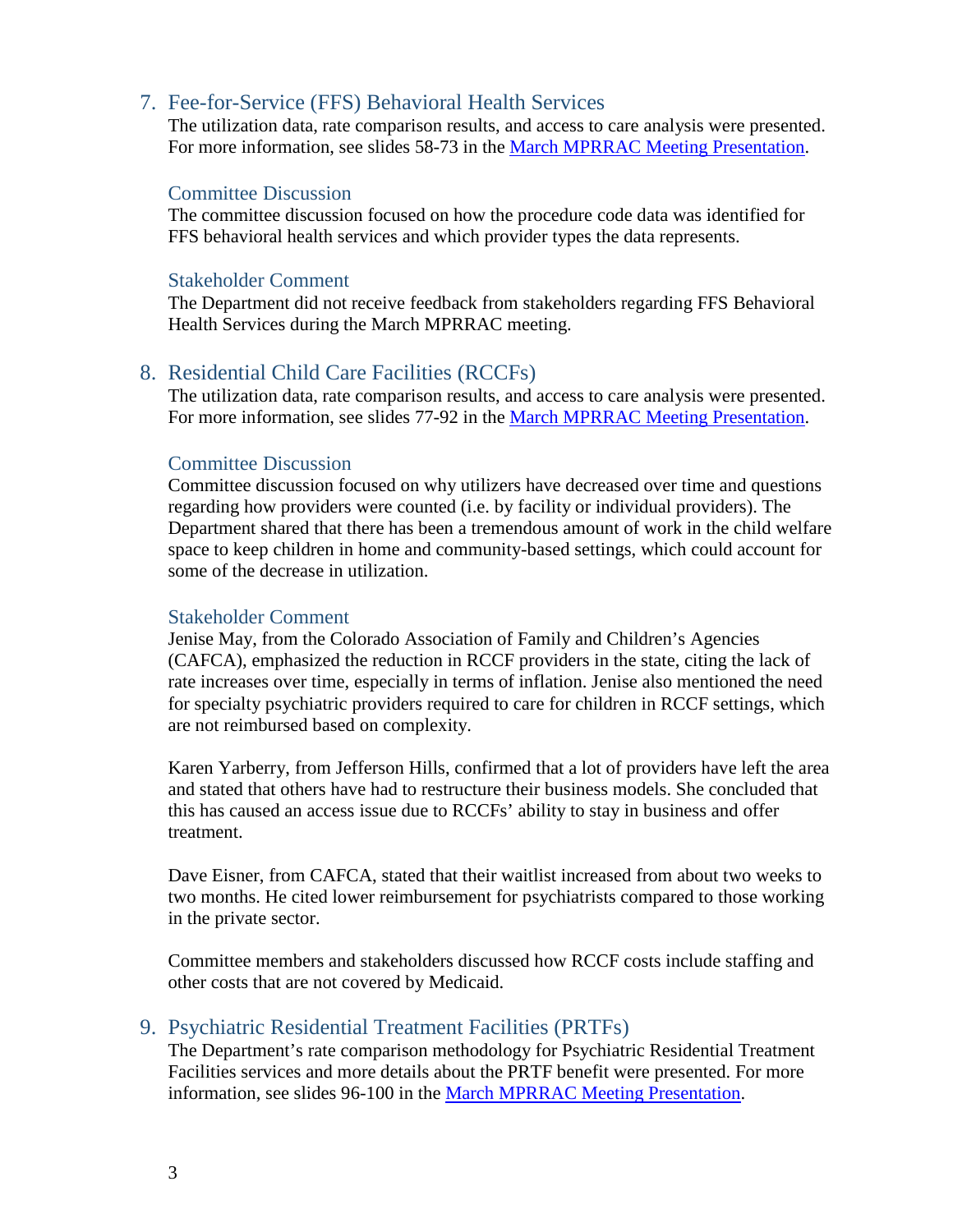# 7. Fee-for-Service (FFS) Behavioral Health Services

The utilization data, rate comparison results, and access to care analysis were presented. For more information, see slides 58-73 in the [March MPRRAC Meeting Presentation.](https://www.colorado.gov/pacific/sites/default/files/MPRRACSlides_Year4__29March2019_finalpdf.pdf)

#### Committee Discussion

The committee discussion focused on how the procedure code data was identified for FFS behavioral health services and which provider types the data represents.

#### Stakeholder Comment

The Department did not receive feedback from stakeholders regarding FFS Behavioral Health Services during the March MPRRAC meeting.

## 8. Residential Child Care Facilities (RCCFs)

The utilization data, rate comparison results, and access to care analysis were presented. For more information, see slides 77-92 in the [March MPRRAC Meeting Presentation.](https://www.colorado.gov/pacific/sites/default/files/MPRRACSlides_Year4__29March2019_finalpdf.pdf)

#### Committee Discussion

Committee discussion focused on why utilizers have decreased over time and questions regarding how providers were counted (i.e. by facility or individual providers). The Department shared that there has been a tremendous amount of work in the child welfare space to keep children in home and community-based settings, which could account for some of the decrease in utilization.

#### Stakeholder Comment

Jenise May, from the Colorado Association of Family and Children's Agencies (CAFCA), emphasized the reduction in RCCF providers in the state, citing the lack of rate increases over time, especially in terms of inflation. Jenise also mentioned the need for specialty psychiatric providers required to care for children in RCCF settings, which are not reimbursed based on complexity.

Karen Yarberry, from Jefferson Hills, confirmed that a lot of providers have left the area and stated that others have had to restructure their business models. She concluded that this has caused an access issue due to RCCFs' ability to stay in business and offer treatment.

Dave Eisner, from CAFCA, stated that their waitlist increased from about two weeks to two months. He cited lower reimbursement for psychiatrists compared to those working in the private sector.

Committee members and stakeholders discussed how RCCF costs include staffing and other costs that are not covered by Medicaid.

#### 9. Psychiatric Residential Treatment Facilities (PRTFs)

The Department's rate comparison methodology for Psychiatric Residential Treatment Facilities services and more details about the PRTF benefit were presented. For more information, see slides 96-100 in the [March MPRRAC Meeting Presentation.](https://www.colorado.gov/pacific/sites/default/files/MPRRACSlides_Year4__29March2019_finalpdf.pdf)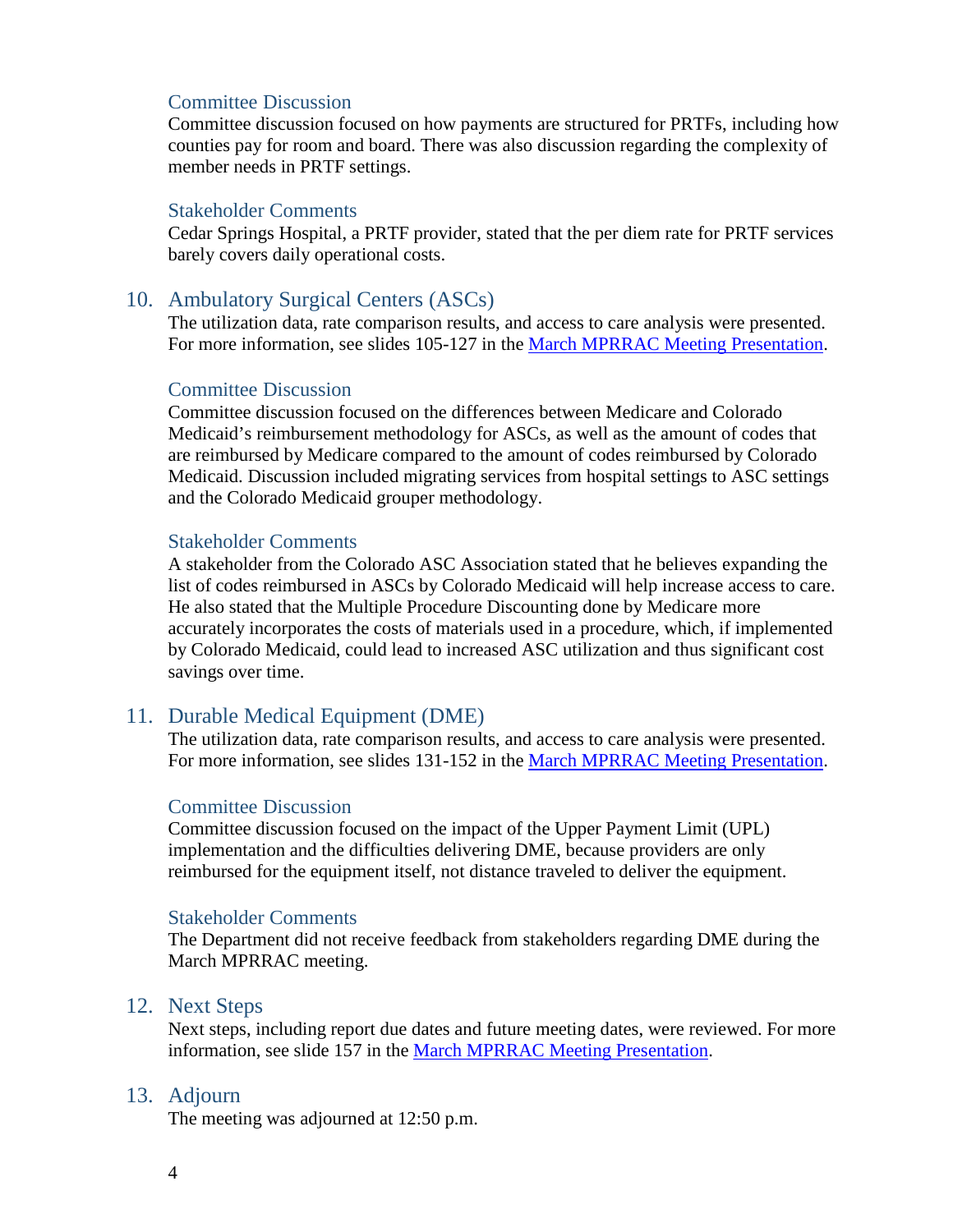## Committee Discussion

Committee discussion focused on how payments are structured for PRTFs, including how counties pay for room and board. There was also discussion regarding the complexity of member needs in PRTF settings.

#### Stakeholder Comments

Cedar Springs Hospital, a PRTF provider, stated that the per diem rate for PRTF services barely covers daily operational costs.

# 10. Ambulatory Surgical Centers (ASCs)

The utilization data, rate comparison results, and access to care analysis were presented. For more information, see slides 105-127 in the [March MPRRAC Meeting Presentation.](https://www.colorado.gov/pacific/sites/default/files/MPRRACSlides_Year4__29March2019_finalpdf.pdf)

#### Committee Discussion

Committee discussion focused on the differences between Medicare and Colorado Medicaid's reimbursement methodology for ASCs, as well as the amount of codes that are reimbursed by Medicare compared to the amount of codes reimbursed by Colorado Medicaid. Discussion included migrating services from hospital settings to ASC settings and the Colorado Medicaid grouper methodology.

#### Stakeholder Comments

A stakeholder from the Colorado ASC Association stated that he believes expanding the list of codes reimbursed in ASCs by Colorado Medicaid will help increase access to care. He also stated that the Multiple Procedure Discounting done by Medicare more accurately incorporates the costs of materials used in a procedure, which, if implemented by Colorado Medicaid, could lead to increased ASC utilization and thus significant cost savings over time.

## 11. Durable Medical Equipment (DME)

The utilization data, rate comparison results, and access to care analysis were presented. For more information, see slides 131-152 in the [March MPRRAC Meeting Presentation.](https://www.colorado.gov/pacific/sites/default/files/MPRRACSlides_Year4__29March2019_finalpdf.pdf)

## Committee Discussion

Committee discussion focused on the impact of the Upper Payment Limit (UPL) implementation and the difficulties delivering DME, because providers are only reimbursed for the equipment itself, not distance traveled to deliver the equipment.

## Stakeholder Comments

The Department did not receive feedback from stakeholders regarding DME during the March MPRRAC meeting.

## 12. Next Steps

Next steps, including report due dates and future meeting dates, were reviewed. For more information, see slide 157 in the [March MPRRAC Meeting Presentation.](https://www.colorado.gov/pacific/sites/default/files/MPRRACSlides_Year4__29March2019_finalpdf.pdf)

# 13. Adjourn

The meeting was adjourned at 12:50 p.m.